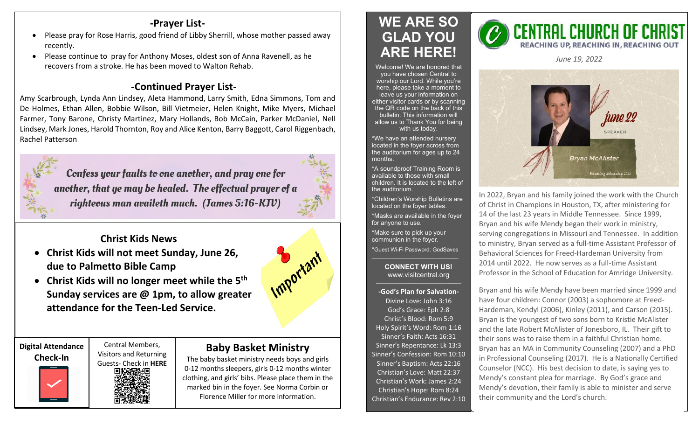### **-Prayer List-**

- Please pray for Rose Harris, good friend of Libby Sherrill, whose mother passed away recently.
- Please continue to pray for Anthony Moses, oldest son of Anna Ravenell, as he recovers from a stroke. He has been moved to Walton Rehab.

# **-Continued Prayer List-**

Amy Scarbrough, Lynda Ann Lindsey, Aleta Hammond, Larry Smith, Edna Simmons, Tom and De Holmes, Ethan Allen, Bobbie Wilson, Bill Vietmeier, Helen Knight, Mike Myers, Michael Farmer, Tony Barone, Christy Martinez, Mary Hollands, Bob McCain, Parker McDaniel, Nell Lindsey, Mark Jones, Harold Thornton, Roy and Alice Kenton, Barry Baggott, Carol Riggenbach, Rachel Patterson



**Christ Kids News**

- **Christ Kids will not meet Sunday, June 26, due to Palmetto Bible Camp**
- **Christ Kids will no longer meet while the 5th Sunday services are @ 1pm, to allow greater attendance for the Teen-Led Service.**





# Visitors and Returning



## **Baby Basket Ministry**

The baby basket ministry needs boys and girls 0-12 months sleepers, girls 0-12 months winter clothing, and girls' bibs. Please place them in the marked bin in the foyer. See Norma Corbin or Florence Miller for more information.

# **WE ARE SO GLAD YOU ARE HERE!**

Welcome! We are honored that you have chosen Central to worship our Lord. While you're here, please take a moment to leave us your information on either visitor cards or by scanning the QR code on the back of this bulletin. This information will allow us to Thank You for being with us today.

\*We have an attended nursery located in the foyer across from the auditorium for ages up to 24 months.

\*A soundproof Training Room is available to those with small children. It is located to the left of the auditorium.

\*Children's Worship Bulletins are located on the foyer tables.

\*Masks are available in the foyer for anyone to use.

\*Make sure to pick up your communion in the foyer.

\*Guest Wi-Fi Password: GodSaves \_\_\_\_\_\_\_\_\_\_\_\_\_\_\_\_\_\_\_\_\_\_\_\_\_\_\_\_\_\_

#### **CONNECT WITH US!** www.visitcentral.org

**-God's Plan for Salvation-**Divine Love: John 3:16 God's Grace: Eph 2:8 Christ's Blood: Rom 5:9 Holy Spirit's Word: Rom 1:16 Sinner's Faith: Acts 16:31 Sinner's Repentance: Lk 13:3 Sinner's Confession: Rom 10:10 Sinner's Baptism: Acts 22:16 Christian's Love: Matt 22:37 Christian's Work: James 2:24 Christian's Hope: Rom 8:24 Christian's Endurance: Rev 2:10



*June 19, 2022* 



In 2022, Bryan and his family joined the work with the Church of Christ in Champions in Houston, TX, after ministering for 14 of the last 23 years in Middle Tennessee. Since 1999, Bryan and his wife Mendy began their work in ministry, serving congregations in Missouri and Tennessee. In addition to ministry, Bryan served as a full-time Assistant Professor of Behavioral Sciences for Freed-Hardeman University from 2014 until 2022. He now serves as a full-time Assistant Professor in the School of Education for Amridge University.

Bryan and his wife Mendy have been married since 1999 and have four children: Connor (2003) a sophomore at Freed-Hardeman, Kendyl (2006), Kinley (2011), and Carson (2015). Bryan is the youngest of two sons born to Kristie McAlister and the late Robert McAlister of Jonesboro, IL. Their gift to their sons was to raise them in a faithful Christian home. Bryan has an MA in Community Counseling (2007) and a PhD in Professional Counseling (2017). He is a Nationally Certified Counselor (NCC). His best decision to date, is saying yes to Mendy's constant plea for marriage. By God's grace and Mendy's devotion, their family is able to minister and serve their community and the Lord's church.